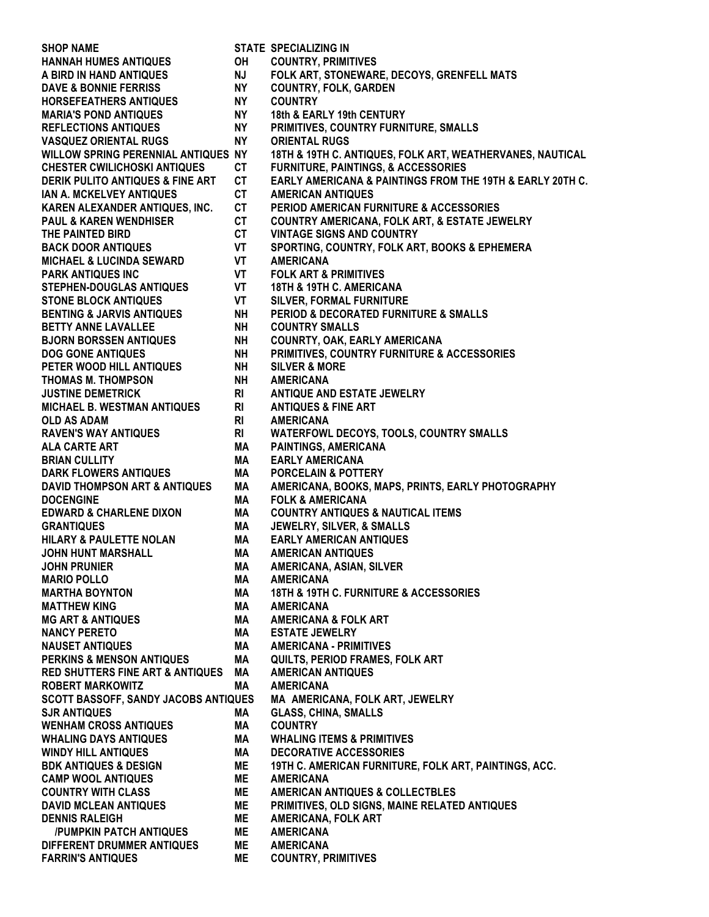**SHOP NAME STATE SPECIALIZING IN HANNAH HUMES ANTIQUES OH COUNTRY, PRIMITIVES A BIRD IN HAND ANTIQUES NJ FOLK ART, STONEWARE, DECOYS, GRENFELL MATS DAVE & BONNIE FERRISS NY COUNTRY, FOLK, GARDEN HORSEFEATHERS ANTIQUES NY COUNTRY MARIA'S POND ANTIQUES NY 18th & EARLY 19th CENTURY REFLECTIONS ANTIQUES NY PRIMITIVES, COUNTRY FURNITURE, SMALLS VASQUEZ ORIENTAL RUGS NY ORIENTAL RUGS WILLOW SPRING PERENNIAL ANTIQUES NY 18TH & 19TH C. ANTIQUES, FOLK ART, WEATHERVANES, NAUTICAL CHESTER CWILICHOSKI ANTIQUES CT FURNITURE, PAINTINGS, & ACCESSORIES DERIK PULITO ANTIQUES & FINE ART CT EARLY AMERICANA & PAINTINGS FROM THE 19TH & EARLY 20TH C. IAN A. MCKELVEY ANTIQUES CT AMERICAN ANTIQUES KAREN ALEXANDER ANTIQUES, INC. CT PERIOD AMERICAN FURNITURE & ACCESSORIES PAUL & KAREN WENDHISER CT COUNTRY AMERICANA, FOLK ART, & ESTATE JEWELRY THE PAINTED BIRD CT VINTAGE SIGNS AND COUNTRY BACK DOOR ANTIQUES VT SPORTING, COUNTRY, FOLK ART, BOOKS & EPHEMERA MICHAEL & LUCINDA SEWARD VT AMERICANA PARK ANTIQUES INC VT FOLK ART & PRIMITIVES STEPHEN-DOUGLAS ANTIQUES VT 18TH & 19TH C. AMERICANA STONE BLOCK ANTIQUES VT SILVER, FORMAL FURNITURE BENTING & JARVIS ANTIQUES NH PERIOD & DECORATED FURNITURE & SMALLS BETTY ANNE LAVALLEE NH COUNTRY SMALLS BJORN BORSSEN ANTIQUES NH COUNRTY, OAK, EARLY AMERICANA DOG GONE ANTIQUES NH PRIMITIVES, COUNTRY FURNITURE & ACCESSORIES PETER WOOD HILL ANTIQUES NH SILVER & MORE THOMAS M. THOMPSON NH AMERICANA JUSTINE DEMETRICK RI ANTIQUE AND ESTATE JEWELRY MICHAEL B. WESTMAN ANTIQUES RI ANTIQUES & FINE ART OLD AS ADAM RI AMERICANA RAVEN'S WAY ANTIQUES RI WATERFOWL DECOYS, TOOLS, COUNTRY SMALLS ALA CARTE ART MA PAINTINGS, AMERICANA BRIAN CULLITY MA EARLY AMERICANA DARK FLOWERS ANTIQUES MA PORCELAIN & POTTERY DAVID THOMPSON ART & ANTIQUES MA AMERICANA, BOOKS, MAPS, PRINTS, EARLY PHOTOGRAPHY DOCENGINE MA FOLK & AMERICANA EDWARD & CHARLENE DIXON MA COUNTRY ANTIQUES & NAUTICAL ITEMS GRANTIQUES MA JEWELRY, SILVER, & SMALLS HILARY & PAULETTE NOLAN MA EARLY AMERICAN ANTIQUES JOHN HUNT MARSHALL MA AMERICAN ANTIQUES JOHN PRUNIER MA AMERICANA, ASIAN, SILVER MARIO POLLO MA AMERICANA MARTHA BOYNTON MA 18TH & 19TH C. FURNITURE & ACCESSORIES MATTHEW KING MA AMERICANA MG ART & ANTIQUES MA AMERICANA & FOLK ART NANCY PERETO MA ESTATE JEWELRY NAUSET ANTIQUES MA AMERICANA - PRIMITIVES PERKINS & MENSON ANTIQUES MA QUILTS, PERIOD FRAMES, FOLK ART RED SHUTTERS FINE ART & ANTIQUES MA AMERICAN ANTIQUES ROBERT MARKOWITZ MA AMERICANA SCOTT BASSOFF, SANDY JACOBS ANTIQUES MA AMERICANA, FOLK ART, JEWELRY SJR ANTIQUES MA GLASS, CHINA, SMALLS WENHAM CROSS ANTIQUES MA COUNTRY WHALING DAYS ANTIQUES MA WHALING ITEMS & PRIMITIVES WINDY HILL ANTIQUES MA DECORATIVE ACCESSORIES BDK ANTIQUES & DESIGN ME 19TH C. AMERICAN FURNITURE, FOLK ART, PAINTINGS, ACC. CAMP WOOL ANTIQUES ME AMERICANA COUNTRY WITH CLASS ME AMERICAN ANTIQUES & COLLECTBLES DAVID MCLEAN ANTIQUES ME PRIMITIVES, OLD SIGNS, MAINE RELATED ANTIQUES DENNIS RALEIGH ME AMERICANA, FOLK ART /PUMPKIN PATCH ANTIQUES ME AMERICANA DIFFERENT DRUMMER ANTIQUES ME AMERICANA FARRIN'S ANTIQUES ME COUNTRY, PRIMITIVES**